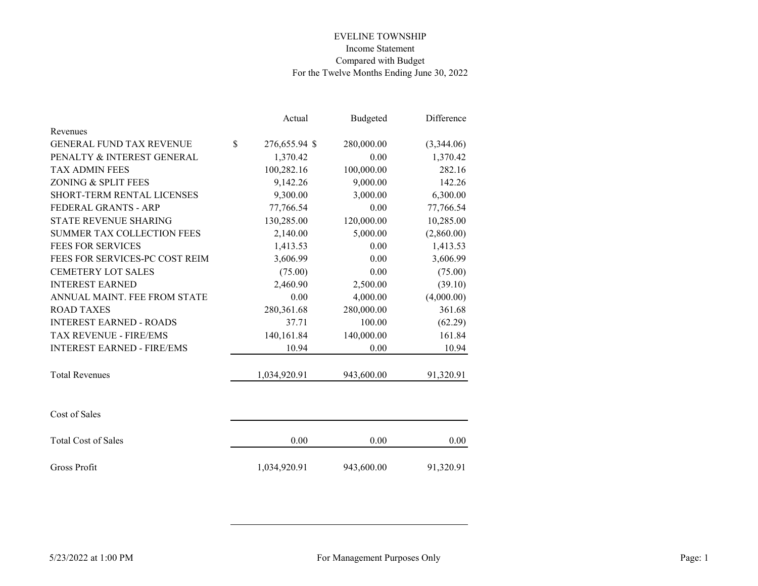|                                   |              | Actual        | Budgeted   | Difference |
|-----------------------------------|--------------|---------------|------------|------------|
| Revenues                          |              |               |            |            |
| <b>GENERAL FUND TAX REVENUE</b>   | $\mathbb{S}$ | 276,655.94 \$ | 280,000.00 | (3,344.06) |
| PENALTY & INTEREST GENERAL        |              | 1,370.42      | 0.00       | 1,370.42   |
| <b>TAX ADMIN FEES</b>             |              | 100,282.16    | 100,000.00 | 282.16     |
| ZONING & SPLIT FEES               |              | 9,142.26      | 9,000.00   | 142.26     |
| SHORT-TERM RENTAL LICENSES        |              | 9,300.00      | 3,000.00   | 6,300.00   |
| FEDERAL GRANTS - ARP              |              | 77,766.54     | 0.00       | 77,766.54  |
| <b>STATE REVENUE SHARING</b>      |              | 130,285.00    | 120,000.00 | 10,285.00  |
| <b>SUMMER TAX COLLECTION FEES</b> |              | 2,140.00      | 5,000.00   | (2,860.00) |
| <b>FEES FOR SERVICES</b>          |              | 1,413.53      | 0.00       | 1,413.53   |
| FEES FOR SERVICES-PC COST REIM    |              | 3,606.99      | 0.00       | 3,606.99   |
| <b>CEMETERY LOT SALES</b>         |              | (75.00)       | 0.00       | (75.00)    |
| <b>INTEREST EARNED</b>            |              | 2,460.90      | 2,500.00   | (39.10)    |
| ANNUAL MAINT. FEE FROM STATE      |              | 0.00          | 4,000.00   | (4,000.00) |
| <b>ROAD TAXES</b>                 |              | 280,361.68    | 280,000.00 | 361.68     |
| <b>INTEREST EARNED - ROADS</b>    |              | 37.71         | 100.00     | (62.29)    |
| TAX REVENUE - FIRE/EMS            |              | 140,161.84    | 140,000.00 | 161.84     |
| <b>INTEREST EARNED - FIRE/EMS</b> |              | 10.94         | 0.00       | 10.94      |
| <b>Total Revenues</b>             |              | 1,034,920.91  | 943,600.00 | 91,320.91  |
| Cost of Sales                     |              |               |            |            |
| <b>Total Cost of Sales</b>        |              | 0.00          | 0.00       | 0.00       |
| Gross Profit                      |              | 1,034,920.91  | 943,600.00 | 91,320.91  |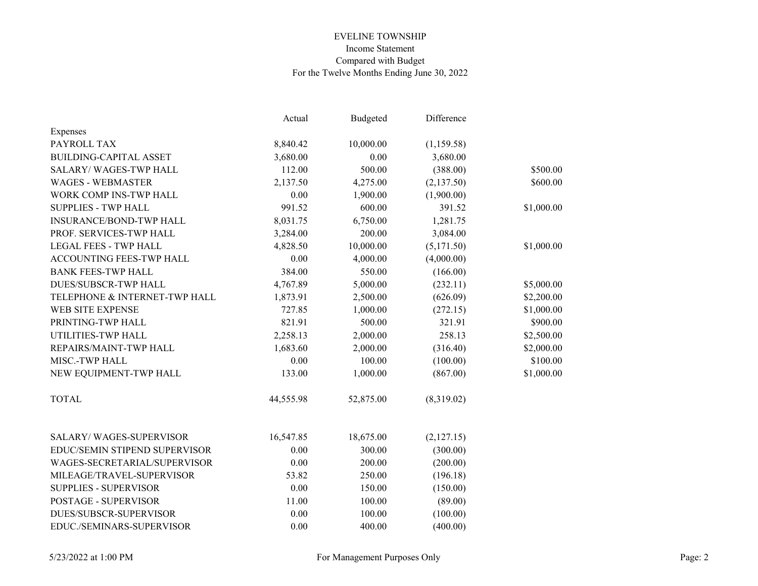|                                | Actual    | Budgeted  | Difference |            |
|--------------------------------|-----------|-----------|------------|------------|
| Expenses                       |           |           |            |            |
| PAYROLL TAX                    | 8,840.42  | 10,000.00 | (1,159.58) |            |
| <b>BUILDING-CAPITAL ASSET</b>  | 3,680.00  | 0.00      | 3,680.00   |            |
| <b>SALARY/WAGES-TWP HALL</b>   | 112.00    | 500.00    | (388.00)   | \$500.00   |
| <b>WAGES - WEBMASTER</b>       | 2,137.50  | 4,275.00  | (2,137.50) | \$600.00   |
| WORK COMP INS-TWP HALL         | 0.00      | 1,900.00  | (1,900.00) |            |
| <b>SUPPLIES - TWP HALL</b>     | 991.52    | 600.00    | 391.52     | \$1,000.00 |
| <b>INSURANCE/BOND-TWP HALL</b> | 8,031.75  | 6,750.00  | 1,281.75   |            |
| PROF. SERVICES-TWP HALL        | 3,284.00  | 200.00    | 3,084.00   |            |
| <b>LEGAL FEES - TWP HALL</b>   | 4,828.50  | 10,000.00 | (5,171.50) | \$1,000.00 |
| ACCOUNTING FEES-TWP HALL       | 0.00      | 4,000.00  | (4,000.00) |            |
| <b>BANK FEES-TWP HALL</b>      | 384.00    | 550.00    | (166.00)   |            |
| <b>DUES/SUBSCR-TWP HALL</b>    | 4,767.89  | 5,000.00  | (232.11)   | \$5,000.00 |
| TELEPHONE & INTERNET-TWP HALL  | 1,873.91  | 2,500.00  | (626.09)   | \$2,200.00 |
| WEB SITE EXPENSE               | 727.85    | 1,000.00  | (272.15)   | \$1,000.00 |
| PRINTING-TWP HALL              | 821.91    | 500.00    | 321.91     | \$900.00   |
| UTILITIES-TWP HALL             | 2,258.13  | 2,000.00  | 258.13     | \$2,500.00 |
| REPAIRS/MAINT-TWP HALL         | 1,683.60  | 2,000.00  | (316.40)   | \$2,000.00 |
| MISC.-TWP HALL                 | 0.00      | 100.00    | (100.00)   | \$100.00   |
| NEW EQUIPMENT-TWP HALL         | 133.00    | 1,000.00  | (867.00)   | \$1,000.00 |
| <b>TOTAL</b>                   | 44,555.98 | 52,875.00 | (8,319.02) |            |
| <b>SALARY/WAGES-SUPERVISOR</b> | 16,547.85 | 18,675.00 | (2,127.15) |            |
| EDUC/SEMIN STIPEND SUPERVISOR  | 0.00      | 300.00    | (300.00)   |            |
| WAGES-SECRETARIAL/SUPERVISOR   | 0.00      | 200.00    | (200.00)   |            |
| MILEAGE/TRAVEL-SUPERVISOR      | 53.82     | 250.00    | (196.18)   |            |
| <b>SUPPLIES - SUPERVISOR</b>   | 0.00      | 150.00    | (150.00)   |            |
| POSTAGE - SUPERVISOR           | 11.00     | 100.00    | (89.00)    |            |
| DUES/SUBSCR-SUPERVISOR         | 0.00      | 100.00    | (100.00)   |            |
| EDUC./SEMINARS-SUPERVISOR      | 0.00      | 400.00    | (400.00)   |            |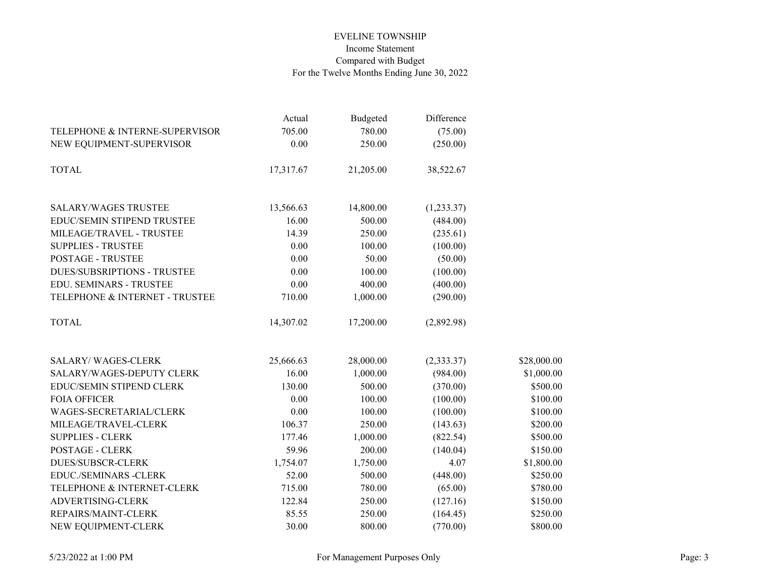|                                    | Actual    | Budgeted  | Difference |             |
|------------------------------------|-----------|-----------|------------|-------------|
| TELEPHONE & INTERNE-SUPERVISOR     | 705.00    | 780.00    | (75.00)    |             |
| NEW EQUIPMENT-SUPERVISOR           | 0.00      | 250.00    | (250.00)   |             |
| <b>TOTAL</b>                       | 17,317.67 | 21,205.00 | 38,522.67  |             |
| <b>SALARY/WAGES TRUSTEE</b>        | 13,566.63 | 14,800.00 | (1,233.37) |             |
| EDUC/SEMIN STIPEND TRUSTEE         | 16.00     | 500.00    | (484.00)   |             |
| MILEAGE/TRAVEL - TRUSTEE           | 14.39     | 250.00    | (235.61)   |             |
| <b>SUPPLIES - TRUSTEE</b>          | 0.00      | 100.00    | (100.00)   |             |
| <b>POSTAGE - TRUSTEE</b>           | 0.00      | 50.00     | (50.00)    |             |
| <b>DUES/SUBSRIPTIONS - TRUSTEE</b> | 0.00      | 100.00    | (100.00)   |             |
| EDU. SEMINARS - TRUSTEE            | 0.00      | 400.00    | (400.00)   |             |
| TELEPHONE & INTERNET - TRUSTEE     | 710.00    | 1,000.00  | (290.00)   |             |
| <b>TOTAL</b>                       | 14,307.02 | 17,200.00 | (2,892.98) |             |
| <b>SALARY/WAGES-CLERK</b>          | 25,666.63 | 28,000.00 | (2,333.37) | \$28,000.00 |
| SALARY/WAGES-DEPUTY CLERK          | 16.00     | 1,000.00  | (984.00)   | \$1,000.00  |
| EDUC/SEMIN STIPEND CLERK           | 130.00    | 500.00    | (370.00)   | \$500.00    |
| <b>FOIA OFFICER</b>                | 0.00      | 100.00    | (100.00)   | \$100.00    |
| WAGES-SECRETARIAL/CLERK            | 0.00      | 100.00    | (100.00)   | \$100.00    |
| MILEAGE/TRAVEL-CLERK               | 106.37    | 250.00    | (143.63)   | \$200.00    |
| <b>SUPPLIES - CLERK</b>            | 177.46    | 1,000.00  | (822.54)   | \$500.00    |
| <b>POSTAGE - CLERK</b>             | 59.96     | 200.00    | (140.04)   | \$150.00    |
| <b>DUES/SUBSCR-CLERK</b>           | 1,754.07  | 1,750.00  | 4.07       | \$1,800.00  |
| <b>EDUC./SEMINARS -CLERK</b>       | 52.00     | 500.00    | (448.00)   | \$250.00    |
| TELEPHONE & INTERNET-CLERK         | 715.00    | 780.00    | (65.00)    | \$780.00    |
| ADVERTISING-CLERK                  | 122.84    | 250.00    | (127.16)   | \$150.00    |
| REPAIRS/MAINT-CLERK                | 85.55     | 250.00    | (164.45)   | \$250.00    |
| NEW EQUIPMENT-CLERK                | 30.00     | 800.00    | (770.00)   | \$800.00    |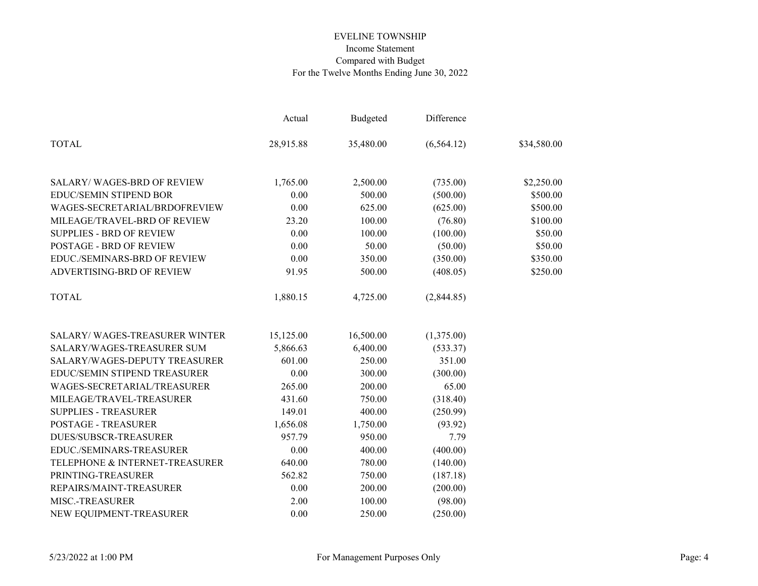|                                       | Actual    | <b>Budgeted</b> | Difference  |             |
|---------------------------------------|-----------|-----------------|-------------|-------------|
| <b>TOTAL</b>                          | 28,915.88 | 35,480.00       | (6, 564.12) | \$34,580.00 |
| <b>SALARY/WAGES-BRD OF REVIEW</b>     | 1,765.00  | 2,500.00        | (735.00)    | \$2,250.00  |
| <b>EDUC/SEMIN STIPEND BOR</b>         | 0.00      | 500.00          | (500.00)    | \$500.00    |
| WAGES-SECRETARIAL/BRDOFREVIEW         | 0.00      | 625.00          | (625.00)    | \$500.00    |
| MILEAGE/TRAVEL-BRD OF REVIEW          | 23.20     | 100.00          | (76.80)     | \$100.00    |
| <b>SUPPLIES - BRD OF REVIEW</b>       | 0.00      | 100.00          | (100.00)    | \$50.00     |
| <b>POSTAGE - BRD OF REVIEW</b>        | 0.00      | 50.00           | (50.00)     | \$50.00     |
| EDUC./SEMINARS-BRD OF REVIEW          | 0.00      | 350.00          | (350.00)    | \$350.00    |
| ADVERTISING-BRD OF REVIEW             | 91.95     | 500.00          | (408.05)    | \$250.00    |
| <b>TOTAL</b>                          | 1,880.15  | 4,725.00        | (2,844.85)  |             |
| <b>SALARY/ WAGES-TREASURER WINTER</b> | 15,125.00 | 16,500.00       | (1,375.00)  |             |
| SALARY/WAGES-TREASURER SUM            | 5,866.63  | 6,400.00        | (533.37)    |             |
| SALARY/WAGES-DEPUTY TREASURER         | 601.00    | 250.00          | 351.00      |             |
| EDUC/SEMIN STIPEND TREASURER          | 0.00      | 300.00          | (300.00)    |             |
| WAGES-SECRETARIAL/TREASURER           | 265.00    | 200.00          | 65.00       |             |
| MILEAGE/TRAVEL-TREASURER              | 431.60    | 750.00          | (318.40)    |             |
| <b>SUPPLIES - TREASURER</b>           | 149.01    | 400.00          | (250.99)    |             |
| <b>POSTAGE - TREASURER</b>            | 1,656.08  | 1,750.00        | (93.92)     |             |
| <b>DUES/SUBSCR-TREASURER</b>          | 957.79    | 950.00          | 7.79        |             |
| EDUC./SEMINARS-TREASURER              | 0.00      | 400.00          | (400.00)    |             |
| TELEPHONE & INTERNET-TREASURER        | 640.00    | 780.00          | (140.00)    |             |
| PRINTING-TREASURER                    | 562.82    | 750.00          | (187.18)    |             |
| REPAIRS/MAINT-TREASURER               | 0.00      | 200.00          | (200.00)    |             |
| MISC.-TREASURER                       | 2.00      | 100.00          | (98.00)     |             |
| NEW EQUIPMENT-TREASURER               | 0.00      | 250.00          | (250.00)    |             |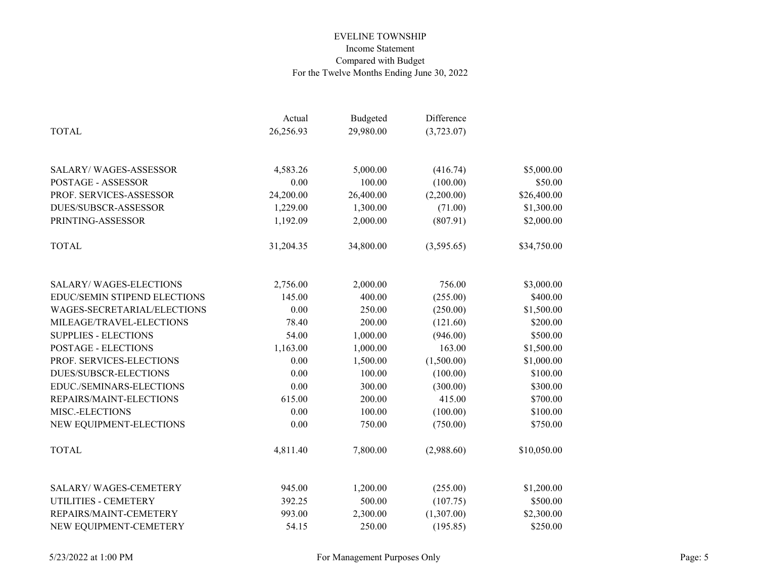|                               | Actual    | Budgeted  | Difference |             |
|-------------------------------|-----------|-----------|------------|-------------|
| <b>TOTAL</b>                  | 26,256.93 | 29,980.00 | (3,723.07) |             |
|                               |           |           |            |             |
| <b>SALARY/WAGES-ASSESSOR</b>  | 4,583.26  | 5,000.00  | (416.74)   | \$5,000.00  |
| POSTAGE - ASSESSOR            | 0.00      | 100.00    | (100.00)   | \$50.00     |
| PROF. SERVICES-ASSESSOR       | 24,200.00 | 26,400.00 | (2,200.00) | \$26,400.00 |
| <b>DUES/SUBSCR-ASSESSOR</b>   | 1,229.00  | 1,300.00  | (71.00)    | \$1,300.00  |
| PRINTING-ASSESSOR             | 1,192.09  | 2,000.00  | (807.91)   | \$2,000.00  |
| <b>TOTAL</b>                  | 31,204.35 | 34,800.00 | (3,595.65) | \$34,750.00 |
| <b>SALARY/WAGES-ELECTIONS</b> | 2,756.00  | 2,000.00  | 756.00     | \$3,000.00  |
| EDUC/SEMIN STIPEND ELECTIONS  | 145.00    | 400.00    | (255.00)   | \$400.00    |
| WAGES-SECRETARIAL/ELECTIONS   | 0.00      | 250.00    | (250.00)   | \$1,500.00  |
| MILEAGE/TRAVEL-ELECTIONS      | 78.40     | 200.00    | (121.60)   | \$200.00    |
| <b>SUPPLIES - ELECTIONS</b>   | 54.00     | 1,000.00  | (946.00)   | \$500.00    |
| <b>POSTAGE - ELECTIONS</b>    | 1,163.00  | 1,000.00  | 163.00     | \$1,500.00  |
| PROF. SERVICES-ELECTIONS      | 0.00      | 1,500.00  | (1,500.00) | \$1,000.00  |
| <b>DUES/SUBSCR-ELECTIONS</b>  | 0.00      | 100.00    | (100.00)   | \$100.00    |
| EDUC./SEMINARS-ELECTIONS      | 0.00      | 300.00    | (300.00)   | \$300.00    |
| REPAIRS/MAINT-ELECTIONS       | 615.00    | 200.00    | 415.00     | \$700.00    |
| MISC.-ELECTIONS               | 0.00      | 100.00    | (100.00)   | \$100.00    |
| NEW EQUIPMENT-ELECTIONS       | 0.00      | 750.00    | (750.00)   | \$750.00    |
| <b>TOTAL</b>                  | 4,811.40  | 7,800.00  | (2,988.60) | \$10,050.00 |
| <b>SALARY/WAGES-CEMETERY</b>  | 945.00    | 1,200.00  | (255.00)   | \$1,200.00  |
| UTILITIES - CEMETERY          | 392.25    | 500.00    | (107.75)   | \$500.00    |
| REPAIRS/MAINT-CEMETERY        | 993.00    | 2,300.00  | (1,307.00) | \$2,300.00  |
| NEW EQUIPMENT-CEMETERY        | 54.15     | 250.00    | (195.85)   | \$250.00    |
|                               |           |           |            |             |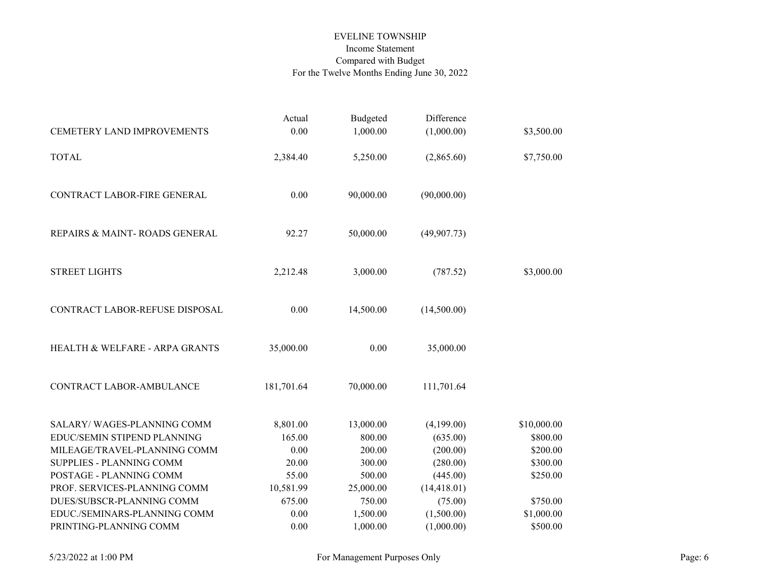|                                | Actual     | Budgeted  | Difference   |             |
|--------------------------------|------------|-----------|--------------|-------------|
| CEMETERY LAND IMPROVEMENTS     | 0.00       | 1,000.00  | (1,000.00)   | \$3,500.00  |
| <b>TOTAL</b>                   | 2,384.40   | 5,250.00  | (2,865.60)   | \$7,750.00  |
| CONTRACT LABOR-FIRE GENERAL    | 0.00       | 90,000.00 | (90,000.00)  |             |
| REPAIRS & MAINT-ROADS GENERAL  | 92.27      | 50,000.00 | (49,907.73)  |             |
| <b>STREET LIGHTS</b>           | 2,212.48   | 3,000.00  | (787.52)     | \$3,000.00  |
| CONTRACT LABOR-REFUSE DISPOSAL | 0.00       | 14,500.00 | (14,500.00)  |             |
| HEALTH & WELFARE - ARPA GRANTS | 35,000.00  | 0.00      | 35,000.00    |             |
| CONTRACT LABOR-AMBULANCE       | 181,701.64 | 70,000.00 | 111,701.64   |             |
| SALARY/WAGES-PLANNING COMM     | 8,801.00   | 13,000.00 | (4,199.00)   | \$10,000.00 |
| EDUC/SEMIN STIPEND PLANNING    | 165.00     | 800.00    | (635.00)     | \$800.00    |
| MILEAGE/TRAVEL-PLANNING COMM   | 0.00       | 200.00    | (200.00)     | \$200.00    |
| SUPPLIES - PLANNING COMM       | 20.00      | 300.00    | (280.00)     | \$300.00    |
| POSTAGE - PLANNING COMM        | 55.00      | 500.00    | (445.00)     | \$250.00    |
| PROF. SERVICES-PLANNING COMM   | 10,581.99  | 25,000.00 | (14, 418.01) |             |
| DUES/SUBSCR-PLANNING COMM      | 675.00     | 750.00    | (75.00)      | \$750.00    |
| EDUC./SEMINARS-PLANNING COMM   | 0.00       | 1,500.00  | (1,500.00)   | \$1,000.00  |
| PRINTING-PLANNING COMM         | 0.00       | 1,000.00  | (1,000.00)   | \$500.00    |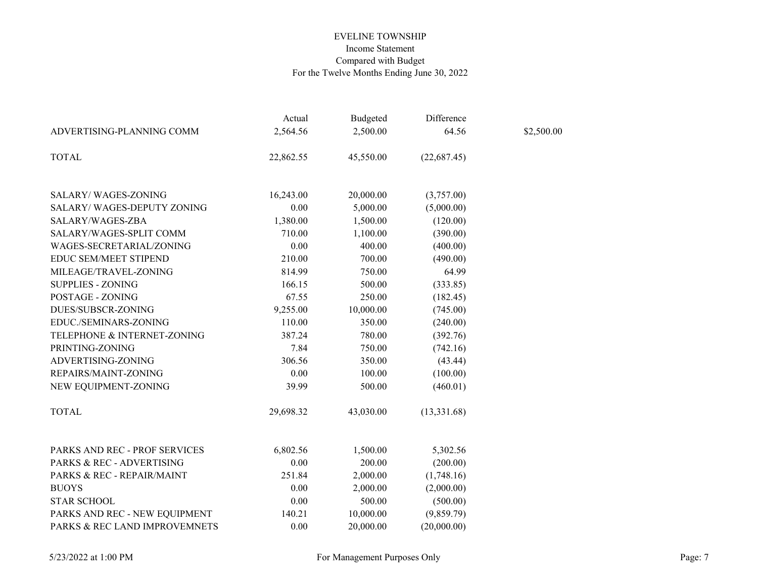|                               | Actual    | <b>Budgeted</b> | Difference   |            |
|-------------------------------|-----------|-----------------|--------------|------------|
| ADVERTISING-PLANNING COMM     | 2,564.56  | 2,500.00        | 64.56        | \$2,500.00 |
| <b>TOTAL</b>                  | 22,862.55 | 45,550.00       | (22, 687.45) |            |
| SALARY/WAGES-ZONING           | 16,243.00 | 20,000.00       | (3,757.00)   |            |
| SALARY/ WAGES-DEPUTY ZONING   | 0.00      | 5,000.00        | (5,000.00)   |            |
| SALARY/WAGES-ZBA              | 1,380.00  | 1,500.00        | (120.00)     |            |
| SALARY/WAGES-SPLIT COMM       | 710.00    | 1,100.00        | (390.00)     |            |
| WAGES-SECRETARIAL/ZONING      | 0.00      | 400.00          | (400.00)     |            |
| <b>EDUC SEM/MEET STIPEND</b>  | 210.00    | 700.00          | (490.00)     |            |
| MILEAGE/TRAVEL-ZONING         | 814.99    | 750.00          | 64.99        |            |
| <b>SUPPLIES - ZONING</b>      | 166.15    | 500.00          | (333.85)     |            |
| POSTAGE - ZONING              | 67.55     | 250.00          | (182.45)     |            |
| DUES/SUBSCR-ZONING            | 9,255.00  | 10,000.00       | (745.00)     |            |
| EDUC./SEMINARS-ZONING         | 110.00    | 350.00          | (240.00)     |            |
| TELEPHONE & INTERNET-ZONING   | 387.24    | 780.00          | (392.76)     |            |
| PRINTING-ZONING               | 7.84      | 750.00          | (742.16)     |            |
| ADVERTISING-ZONING            | 306.56    | 350.00          | (43.44)      |            |
| REPAIRS/MAINT-ZONING          | 0.00      | 100.00          | (100.00)     |            |
| NEW EQUIPMENT-ZONING          | 39.99     | 500.00          | (460.01)     |            |
| <b>TOTAL</b>                  | 29,698.32 | 43,030.00       | (13,331.68)  |            |
| PARKS AND REC - PROF SERVICES | 6,802.56  | 1,500.00        | 5,302.56     |            |
| PARKS & REC - ADVERTISING     | 0.00      | 200.00          | (200.00)     |            |
| PARKS & REC - REPAIR/MAINT    | 251.84    | 2,000.00        | (1,748.16)   |            |
| <b>BUOYS</b>                  | 0.00      | 2,000.00        | (2,000.00)   |            |
| <b>STAR SCHOOL</b>            | 0.00      | 500.00          | (500.00)     |            |
| PARKS AND REC - NEW EQUIPMENT | 140.21    | 10,000.00       | (9,859.79)   |            |
| PARKS & REC LAND IMPROVEMNETS | 0.00      | 20,000.00       | (20,000.00)  |            |